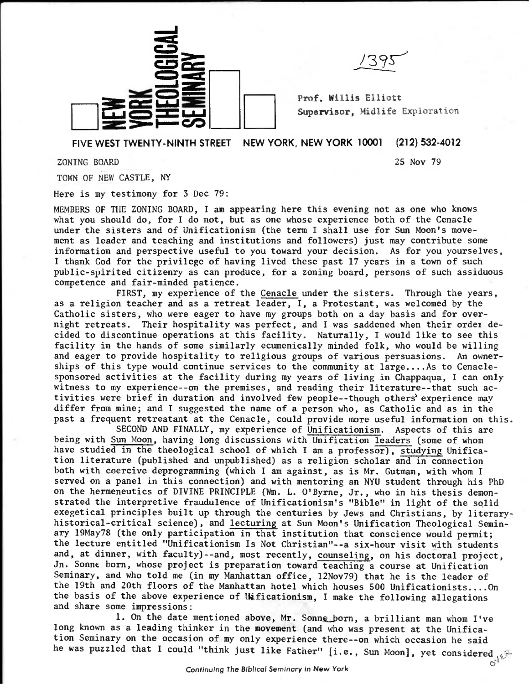

**Prof. Willis Elliott**  Supervisor, Midlife Exploration

**FIVE WEST TWENTY-NINTH STREET NEW YORK, NEW YORK 10001 (212) 532-4012** 

**ZONING BOARD 25 Nov 79** 

**TOWN OF NEW CASTLE, NY** 

**Here is my testimony for 3 Dec 79:** 

**MEMBERS OF THE ZONING BOARD, I am appearing here this evening not as one who knows what you should do, for I do not, but as one whose experience both of the Cenacle under the sisters and of Unificationism (the term I shall use for Sun Moon's movement as leader and teaching and institutions and followers) just may contribute some information and perspective useful to you toward your decision. As for you yourselves, I thank God for the privilege of having lived these past 17 years in a town of such public-spirited citizenry as can produce, for a zoning board, persons of such assiduous competence and fair-minded patience.** 

**FIRST, my experience of the Cenacle under the sisters. Through the years, as a religion teacher and as a retreat leader, I, a Protestant, was welcomed by the Catholic sisters, who were eager to have my groups both on a day basis and for overnight retreats. Their hospitality was perfect, and I was saddened when their order decided to discontinue operations at this facility. Naturally, I would like to see this facility in the hands of some similarly ecumenically minded folk, who would be willing and eager to provide hospitality to religious groups of various persuasions. An ownerships of this type would continue services to the community at large....As to Cenaclesponsored activities at the facility during my years of living in Chappaqua, I can only witness to my experience--on the premises, and reading their literature--that such activities were brief in duration and involved few people--though others'experience may differ from mine; and I suggested the name of a person who, as Catholic and as in the past a frequent retreatant at the Cenacle, could provide more useful information on this.** 

**SECOND AND FINALLY, my experience of Unificationism. Aspects of this are being with Sun Moon, having long discussions with Unification leaders (some of whom have studied in the theological school of which I am a professor), studying Unification literature (published and unpublished) as a religion scholar and in connection both with coercive deprogramming (which I am against, as is Mr. Gutman, with whom I served on a panel in this connection) and with mentoring an NYU student through his PhD on the hermeneutics of DIVINE PRINCIPLE (Wm. L. O'Byrne, Jr., who in his thesis demonstrated the interpretive fraudulence of Unificationism's "Bible" in light of the solid exegetical principles built up through the centuries by Jews and Christians, by literaryhistorical-critical science), and lecturing at Sun Moon's Unification Theological Seminary 19May78 (the only participation in that institution that conscience would permit; the lecture entitled "Unificationism Is Not Christian"--a six-hour visit with students and, at dinner, with faculty)--and, most recently, counseling, on his doctoral project, Jn. Sonne born, whose project is preparation toward teaching a course at Unification Seminary, and who told me (in my Manhattan office, 12Nov79) that he is the leader of the 19th and 20th floors of the Manhattan hotel which houses 500 Unificationists....On the basis of the above experience of Wicationism, I make the following allegations and share some impressions:** 

1. On the date mentioned above, Mr. Sonne born, a brilliant man whom I've **long known as a leading thinker in the movement (and who was present at the Unification Seminary on the occasion of my only experience there--on which occasion he said**  he was puzzled that I could "think just like Father" [i.e., Sun Moon], yet considered and